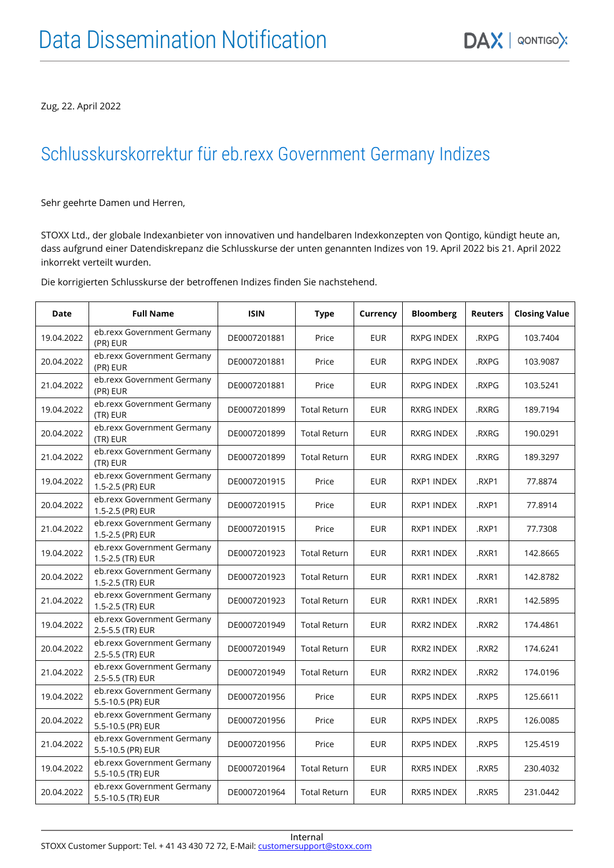Zug, 22. April 2022

## Schlusskurskorrektur für eb.rexx Government Germany Indizes

Sehr geehrte Damen und Herren,

STOXX Ltd., der globale Indexanbieter von innovativen und handelbaren Indexkonzepten von Qontigo, kündigt heute an, dass aufgrund einer Datendiskrepanz die Schlusskurse der unten genannten Indizes von 19. April 2022 bis 21. April 2022 inkorrekt verteilt wurden.

Die korrigierten Schlusskurse der betroffenen Indizes finden Sie nachstehend.

| Date       | <b>Full Name</b>                                | <b>ISIN</b>  | <b>Type</b>         | Currency   | <b>Bloomberg</b>  | <b>Reuters</b>   | <b>Closing Value</b> |
|------------|-------------------------------------------------|--------------|---------------------|------------|-------------------|------------------|----------------------|
| 19.04.2022 | eb.rexx Government Germany<br>(PR) EUR          | DE0007201881 | Price               | <b>EUR</b> | <b>RXPG INDEX</b> | .RXPG            | 103.7404             |
| 20.04.2022 | eb.rexx Government Germany<br>(PR) EUR          | DE0007201881 | Price               | <b>EUR</b> | <b>RXPG INDEX</b> | .RXPG            | 103.9087             |
| 21.04.2022 | eb.rexx Government Germany<br>(PR) EUR          | DE0007201881 | Price               | <b>EUR</b> | <b>RXPG INDEX</b> | .RXPG            | 103.5241             |
| 19.04.2022 | eb.rexx Government Germany<br>(TR) EUR          | DE0007201899 | <b>Total Return</b> | <b>EUR</b> | <b>RXRG INDEX</b> | .RXRG            | 189.7194             |
| 20.04.2022 | eb.rexx Government Germany<br>(TR) EUR          | DE0007201899 | <b>Total Return</b> | <b>EUR</b> | <b>RXRG INDEX</b> | .RXRG            | 190.0291             |
| 21.04.2022 | eb.rexx Government Germany<br>(TR) EUR          | DE0007201899 | <b>Total Return</b> | <b>EUR</b> | RXRG INDEX        | .RXRG            | 189.3297             |
| 19.04.2022 | eb.rexx Government Germany<br>1.5-2.5 (PR) EUR  | DE0007201915 | Price               | <b>EUR</b> | RXP1 INDEX        | .RXP1            | 77.8874              |
| 20.04.2022 | eb.rexx Government Germany<br>1.5-2.5 (PR) EUR  | DE0007201915 | Price               | <b>EUR</b> | RXP1 INDEX        | .RXP1            | 77.8914              |
| 21.04.2022 | eb.rexx Government Germany<br>1.5-2.5 (PR) EUR  | DE0007201915 | Price               | <b>EUR</b> | RXP1 INDEX        | .RXP1            | 77.7308              |
| 19.04.2022 | eb.rexx Government Germany<br>1.5-2.5 (TR) EUR  | DE0007201923 | <b>Total Return</b> | <b>EUR</b> | RXR1 INDEX        | .RXR1            | 142.8665             |
| 20.04.2022 | eb.rexx Government Germany<br>1.5-2.5 (TR) EUR  | DE0007201923 | <b>Total Return</b> | <b>EUR</b> | RXR1 INDEX        | .RXR1            | 142.8782             |
| 21.04.2022 | eb.rexx Government Germany<br>1.5-2.5 (TR) EUR  | DE0007201923 | <b>Total Return</b> | <b>EUR</b> | RXR1 INDEX        | .RXR1            | 142.5895             |
| 19.04.2022 | eb.rexx Government Germany<br>2.5-5.5 (TR) EUR  | DE0007201949 | <b>Total Return</b> | <b>EUR</b> | RXR2 INDEX        | RXR <sub>2</sub> | 174.4861             |
| 20.04.2022 | eb.rexx Government Germany<br>2.5-5.5 (TR) EUR  | DE0007201949 | <b>Total Return</b> | <b>EUR</b> | RXR2 INDEX        | .RXR2            | 174.6241             |
| 21.04.2022 | eb.rexx Government Germany<br>2.5-5.5 (TR) EUR  | DE0007201949 | <b>Total Return</b> | <b>EUR</b> | RXR2 INDEX        | .RXR2            | 174.0196             |
| 19.04.2022 | eb.rexx Government Germany<br>5.5-10.5 (PR) EUR | DE0007201956 | Price               | <b>EUR</b> | RXP5 INDEX        | .RXP5            | 125.6611             |
| 20.04.2022 | eb.rexx Government Germany<br>5.5-10.5 (PR) EUR | DE0007201956 | Price               | <b>EUR</b> | RXP5 INDEX        | .RXP5            | 126.0085             |
| 21.04.2022 | eb.rexx Government Germany<br>5.5-10.5 (PR) EUR | DE0007201956 | Price               | <b>EUR</b> | RXP5 INDEX        | RXP5             | 125.4519             |
| 19.04.2022 | eb.rexx Government Germany<br>5.5-10.5 (TR) EUR | DE0007201964 | <b>Total Return</b> | <b>EUR</b> | RXR5 INDEX        | .RXR5            | 230.4032             |
| 20.04.2022 | eb.rexx Government Germany<br>5.5-10.5 (TR) EUR | DE0007201964 | <b>Total Return</b> | <b>EUR</b> | RXR5 INDEX        | .RXR5            | 231.0442             |